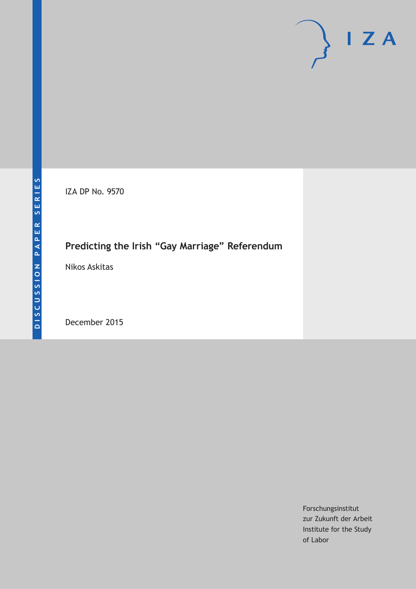IZA DP No. 9570

# **Predicting the Irish "Gay Marriage" Referendum**

Nikos Askitas

December 2015

Forschungsinstitut zur Zukunft der Arbeit Institute for the Study of Labor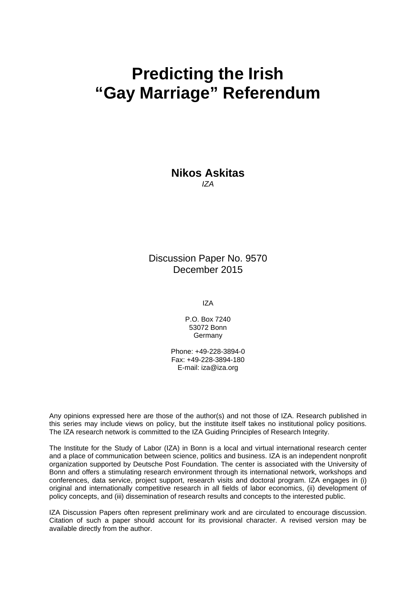# **Predicting the Irish "Gay Marriage" Referendum**

**Nikos Askitas**  *IZA* 

Discussion Paper No. 9570 December 2015

IZA

P.O. Box 7240 53072 Bonn Germany

Phone: +49-228-3894-0 Fax: +49-228-3894-180 E-mail: iza@iza.org

Any opinions expressed here are those of the author(s) and not those of IZA. Research published in this series may include views on policy, but the institute itself takes no institutional policy positions. The IZA research network is committed to the IZA Guiding Principles of Research Integrity.

The Institute for the Study of Labor (IZA) in Bonn is a local and virtual international research center and a place of communication between science, politics and business. IZA is an independent nonprofit organization supported by Deutsche Post Foundation. The center is associated with the University of Bonn and offers a stimulating research environment through its international network, workshops and conferences, data service, project support, research visits and doctoral program. IZA engages in (i) original and internationally competitive research in all fields of labor economics, (ii) development of policy concepts, and (iii) dissemination of research results and concepts to the interested public.

IZA Discussion Papers often represent preliminary work and are circulated to encourage discussion. Citation of such a paper should account for its provisional character. A revised version may be available directly from the author.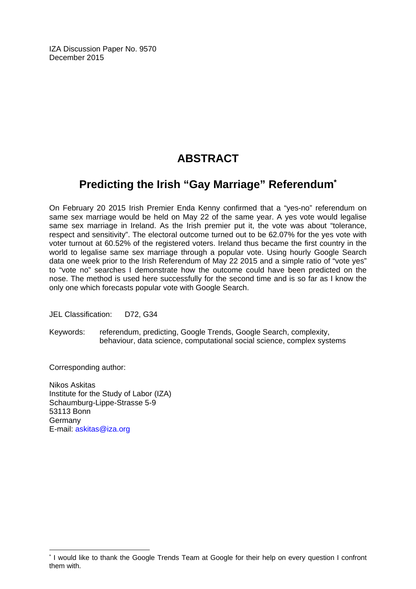IZA Discussion Paper No. 9570 December 2015

# **ABSTRACT**

# **Predicting the Irish "Gay Marriage" Referendum\***

On February 20 2015 Irish Premier Enda Kenny confirmed that a "yes-no" referendum on same sex marriage would be held on May 22 of the same year. A yes vote would legalise same sex marriage in Ireland. As the Irish premier put it, the vote was about "tolerance, respect and sensitivity". The electoral outcome turned out to be 62.07% for the yes vote with voter turnout at 60.52% of the registered voters. Ireland thus became the first country in the world to legalise same sex marriage through a popular vote. Using hourly Google Search data one week prior to the Irish Referendum of May 22 2015 and a simple ratio of "vote yes" to "vote no" searches I demonstrate how the outcome could have been predicted on the nose. The method is used here successfully for the second time and is so far as I know the only one which forecasts popular vote with Google Search.

JEL Classification: D72, G34

Keywords: referendum, predicting, Google Trends, Google Search, complexity, behaviour, data science, computational social science, complex systems

Corresponding author:

 $\overline{\phantom{a}}$ 

Nikos Askitas Institute for the Study of Labor (IZA) Schaumburg-Lippe-Strasse 5-9 53113 Bonn Germany E-mail: askitas@iza.org

<sup>\*</sup> I would like to thank the Google Trends Team at Google for their help on every question I confront them with.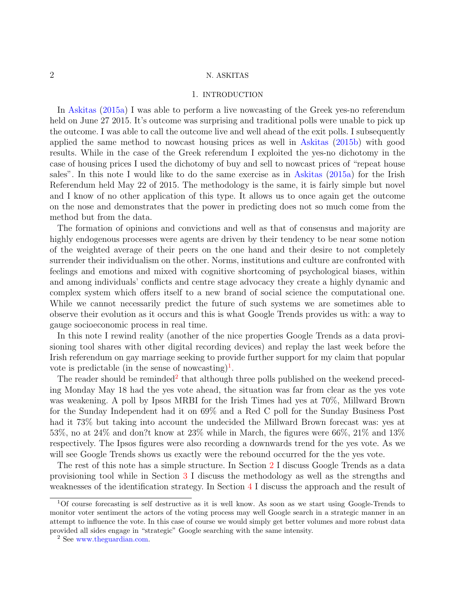# 2 N. ASKITAS

## 1. INTRODUCTION

In [Askitas](#page-6-0) [\(2015a\)](#page-6-0) I was able to perform a live nowcasting of the Greek yes-no referendum held on June 27 2015. It's outcome was surprising and traditional polls were unable to pick up the outcome. I was able to call the outcome live and well ahead of the exit polls. I subsequently applied the same method to nowcast housing prices as well in [Askitas](#page-6-1) [\(2015b\)](#page-6-1) with good results. While in the case of the Greek referendum I exploited the yes-no dichotomy in the case of housing prices I used the dichotomy of buy and sell to nowcast prices of "repeat house sales". In this note I would like to do the same exercise as in [Askitas](#page-6-0) [\(2015a\)](#page-6-0) for the Irish Referendum held May 22 of 2015. The methodology is the same, it is fairly simple but novel and I know of no other application of this type. It allows us to once again get the outcome on the nose and demonstrates that the power in predicting does not so much come from the method but from the data.

The formation of opinions and convictions and well as that of consensus and majority are highly endogenous processes were agents are driven by their tendency to be near some notion of the weighted average of their peers on the one hand and their desire to not completely surrender their individualism on the other. Norms, institutions and culture are confronted with feelings and emotions and mixed with cognitive shortcoming of psychological biases, within and among individuals' conflicts and centre stage advocacy they create a highly dynamic and complex system which offers itself to a new brand of social science the computational one. While we cannot necessarily predict the future of such systems we are sometimes able to observe their evolution as it occurs and this is what Google Trends provides us with: a way to gauge socioeconomic process in real time.

In this note I rewind reality (another of the nice properties Google Trends as a data provisioning tool shares with other digital recording devices) and replay the last week before the Irish referendum on gay marriage seeking to provide further support for my claim that popular vote is predictable (in the sense of nowcasting)<sup>[1](#page-3-0)</sup>.

The reader should be reminded<sup>[2](#page-3-1)</sup> that although three polls published on the weekend preceding Monday May 18 had the yes vote ahead, the situation was far from clear as the yes vote was weakening. A poll by Ipsos MRBI for the Irish Times had yes at 70%, Millward Brown for the Sunday Independent had it on 69% and a Red C poll for the Sunday Business Post had it 73% but taking into account the undecided the Millward Brown forecast was: yes at 53%, no at  $24\%$  and don?t know at  $23\%$  while in March, the figures were 66%,  $21\%$  and  $13\%$ respectively. The Ipsos figures were also recording a downwards trend for the yes vote. As we will see Google Trends shows us exactly were the rebound occurred for the the yes vote.

The rest of this note has a simple structure. In Section [2](#page-4-0) I discuss Google Trends as a data provisioning tool while in Section [3](#page-5-0) I discuss the methodology as well as the strengths and weaknesses of the identification strategy. In Section [4](#page-6-2) I discuss the approach and the result of

<span id="page-3-0"></span><sup>1</sup>Of course forecasting is self destructive as it is well know. As soon as we start using Google-Trends to monitor voter sentiment the actors of the voting process may well Google search in a strategic manner in an attempt to influence the vote. In this case of course we would simply get better volumes and more robust data provided all sides engage in "strategic" Google searching with the same intensity.

<span id="page-3-1"></span><sup>2</sup> See [www.theguardian.com.](http://www.theguardian.com/society/2015/may/18/could-polls-be-wrong-irelands-gay-marriage-referendum-vote-same-sex)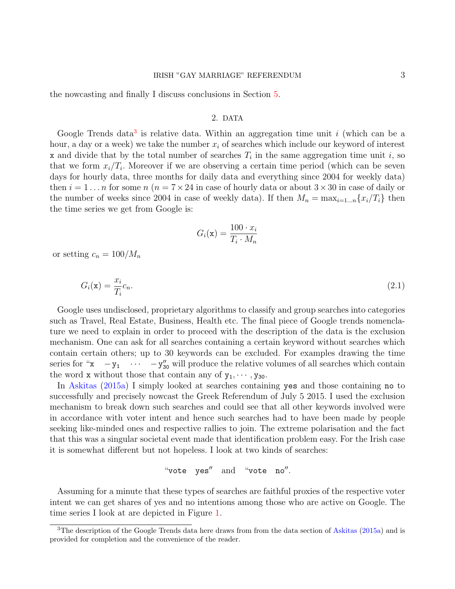the nowcasting and finally I discuss conclusions in Section [5.](#page-6-3)

#### 2. DATA

<span id="page-4-0"></span>Google Trends data<sup>[3](#page-4-1)</sup> is relative data. Within an aggregation time unit i (which can be a hour, a day or a week) we take the number  $x_i$  of searches which include our keyword of interest x and divide that by the total number of searches  $T_i$  in the same aggregation time unit i, so that we form  $x_i/T_i$ . Moreover if we are observing a certain time period (which can be seven days for hourly data, three months for daily data and everything since 2004 for weekly data) then  $i = 1 \dots n$  for some  $n (n = 7 \times 24)$  in case of hourly data or about  $3 \times 30$  in case of daily or the number of weeks since 2004 in case of weekly data). If then  $M_n = \max_{i=1...n} \{x_i/T_i\}$  then the time series we get from Google is:

$$
G_i(\mathbf{x}) = \frac{100 \cdot x_i}{T_i \cdot M_n}
$$

<span id="page-4-2"></span>or setting  $c_n = 100/M_n$ 

$$
G_i(\mathbf{x}) = \frac{x_i}{T_i} c_n. \tag{2.1}
$$

Google uses undisclosed, proprietary algorithms to classify and group searches into categories such as Travel, Real Estate, Business, Health etc. The final piece of Google trends nomenclature we need to explain in order to proceed with the description of the data is the exclusion mechanism. One can ask for all searches containing a certain keyword without searches which contain certain others; up to 30 keywords can be excluded. For examples drawing the time series for " $x - y_1 \cdots - y_{30}''$  will produce the relative volumes of all searches which contain the word x without those that contain any of  $y_1, \dots, y_{30}$ .

In [Askitas](#page-6-0) [\(2015a\)](#page-6-0) I simply looked at searches containing yes and those containing no to successfully and precisely nowcast the Greek Referendum of July 5 2015. I used the exclusion mechanism to break down such searches and could see that all other keywords involved were in accordance with voter intent and hence such searches had to have been made by people seeking like-minded ones and respective rallies to join. The extreme polarisation and the fact that this was a singular societal event made that identification problem easy. For the Irish case it is somewhat different but not hopeless. I look at two kinds of searches:

"vote  $yes''$  and "vote  $no''.$ 

Assuming for a minute that these types of searches are faithful proxies of the respective voter intent we can get shares of yes and no intentions among those who are active on Google. The time series I look at are depicted in Figure [1.](#page-5-1)

<span id="page-4-1"></span><sup>&</sup>lt;sup>3</sup>The description of the Google Trends data here draws from from the data section of [Askitas](#page-6-0) [\(2015a\)](#page-6-0) and is provided for completion and the convenience of the reader.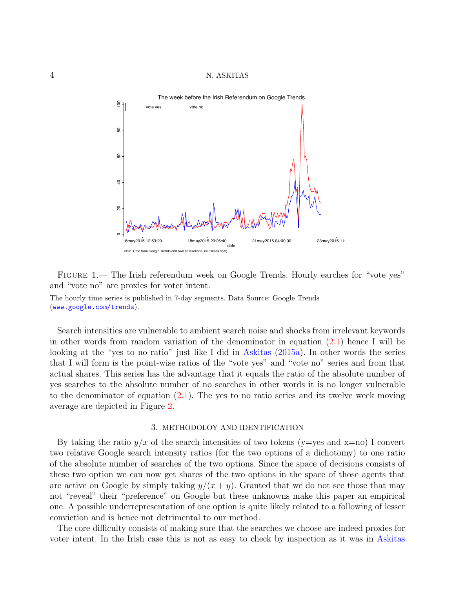#### 4 N. ASKITAS



<span id="page-5-1"></span>FIGURE 1.— The Irish referendum week on Google Trends. Hourly earches for "vote yes" and "vote no" are proxies for voter intent.

The hourly time series is published in 7-day segments. Data Source: Google Trends (<www.google.com/trends>).

Search intensities are vulnerable to ambient search noise and shocks from irrelevant keywords in other words from random variation of the denominator in equation [\(2.1\)](#page-4-2) hence I will be looking at the "yes to no ratio" just like I did in [Askitas](#page-6-0) [\(2015a\)](#page-6-0). In other words the series that I will form is the point-wise ratios of the "vote yes" and "vote no" series and from that actual shares. This series has the advantage that it equals the ratio of the absolute number of yes searches to the absolute number of no searches in other words it is no longer vulnerable to the denominator of equation [\(2.1\)](#page-4-2). The yes to no ratio series and its twelve week moving average are depicted in Figure [2.](#page-7-0)

#### 3. METHODOLOY AND IDENTIFICATION

<span id="page-5-0"></span>By taking the ratio  $y/x$  of the search intensities of two tokens (y=yes and x=no) I convert two relative Google search intensity ratios (for the two options of a dichotomy) to one ratio of the absolute number of searches of the two options. Since the space of decisions consists of these two option we can now get shares of the two options in the space of those agents that are active on Google by simply taking  $y/(x + y)$ . Granted that we do not see those that may not "reveal" their "preference" on Google but these unknowns make this paper an empirical one. A possible underrepresentation of one option is quite likely related to a following of lesser conviction and is hence not detrimental to our method.

The core difficulty consists of making sure that the searches we choose are indeed proxies for voter intent. In the Irish case this is not as easy to check by inspection as it was in [Askitas](#page-6-0)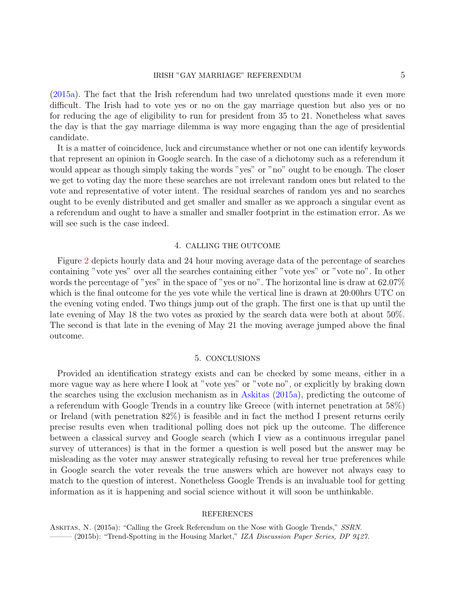### IRISH "GAY MARRIAGE" REFERENDUM 5

[\(2015a\)](#page-6-0). The fact that the Irish referendum had two unrelated questions made it even more difficult. The Irish had to vote yes or no on the gay marriage question but also yes or no for reducing the age of eligibility to run for president from 35 to 21. Nonetheless what saves the day is that the gay marriage dilemma is way more engaging than the age of presidential candidate.

It is a matter of coincidence, luck and circumstance whether or not one can identify keywords that represent an opinion in Google search. In the case of a dichotomy such as a referendum it would appear as though simply taking the words "yes" or "no" ought to be enough. The closer we get to voting day the more these searches are not irrelevant random ones but related to the vote and representative of voter intent. The residual searches of random yes and no searches ought to be evenly distributed and get smaller and smaller as we approach a singular event as a referendum and ought to have a smaller and smaller footprint in the estimation error. As we will see such is the case indeed.

## 4. CALLING THE OUTCOME

<span id="page-6-2"></span>Figure [2](#page-7-0) depicts hourly data and 24 hour moving average data of the percentage of searches containing "vote yes" over all the searches containing either "vote yes" or "vote no". In other words the percentage of "yes" in the space of "yes or no". The horizontal line is draw at 62.07% which is the final outcome for the yes vote while the vertical line is drawn at 20:00hrs UTC on the evening voting ended. Two things jump out of the graph. The first one is that up until the late evening of May 18 the two votes as proxied by the search data were both at about 50%. The second is that late in the evening of May 21 the moving average jumped above the final outcome.

### 5. CONCLUSIONS

<span id="page-6-3"></span>Provided an identification strategy exists and can be checked by some means, either in a more vague way as here where I look at "vote yes" or "vote no", or explicitly by braking down the searches using the exclusion mechanism as in [Askitas](#page-6-0) [\(2015a\)](#page-6-0), predicting the outcome of a referendum with Google Trends in a country like Greece (with internet penetration at 58%) or Ireland (with penetration 82%) is feasible and in fact the method I present returns eerily precise results even when traditional polling does not pick up the outcome. The difference between a classical survey and Google search (which I view as a continuous irregular panel survey of utterances) is that in the former a question is well posed but the answer may be misleading as the voter may answer strategically refusing to reveal her true preferences while in Google search the voter reveals the true answers which are however not always easy to match to the question of interest. Nonetheless Google Trends is an invaluable tool for getting information as it is happening and social science without it will soon be unthinkable.

#### REFERENCES

<span id="page-6-1"></span><span id="page-6-0"></span>Askitas, N. (2015a): "Calling the Greek Referendum on the Nose with Google Trends," SSRN.  $-(2015b)$ : "Trend-Spotting in the Housing Market," IZA Discussion Paper Series, DP 9427.